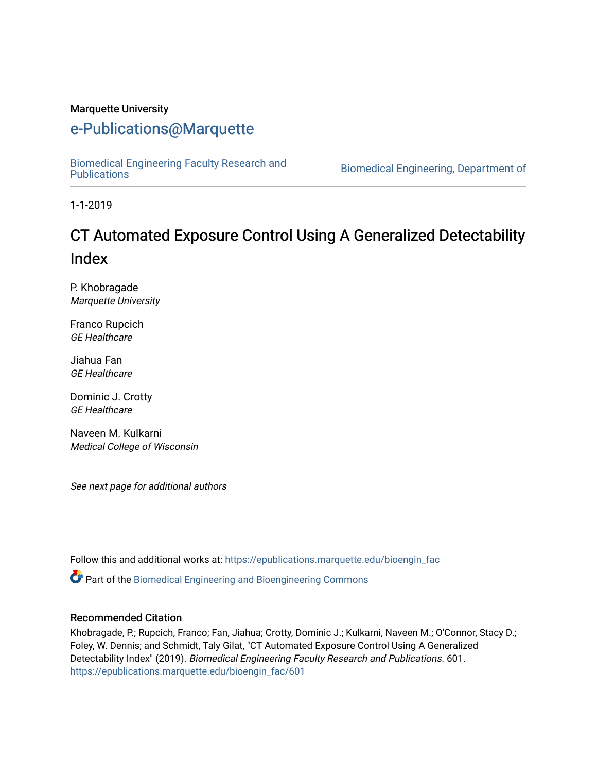#### Marquette University

#### [e-Publications@Marquette](https://epublications.marquette.edu/)

[Biomedical Engineering Faculty Research and](https://epublications.marquette.edu/bioengin_fac) 

Biomedical Engineering, Department of

1-1-2019

# CT Automated Exposure Control Using A Generalized Detectability Index

P. Khobragade Marquette University

Franco Rupcich GE Healthcare

Jiahua Fan GE Healthcare

Dominic J. Crotty GE Healthcare

Naveen M. Kulkarni Medical College of Wisconsin

See next page for additional authors

Follow this and additional works at: [https://epublications.marquette.edu/bioengin\\_fac](https://epublications.marquette.edu/bioengin_fac?utm_source=epublications.marquette.edu%2Fbioengin_fac%2F601&utm_medium=PDF&utm_campaign=PDFCoverPages)

Part of the [Biomedical Engineering and Bioengineering Commons](http://network.bepress.com/hgg/discipline/229?utm_source=epublications.marquette.edu%2Fbioengin_fac%2F601&utm_medium=PDF&utm_campaign=PDFCoverPages) 

#### Recommended Citation

Khobragade, P.; Rupcich, Franco; Fan, Jiahua; Crotty, Dominic J.; Kulkarni, Naveen M.; O'Connor, Stacy D.; Foley, W. Dennis; and Schmidt, Taly Gilat, "CT Automated Exposure Control Using A Generalized Detectability Index" (2019). Biomedical Engineering Faculty Research and Publications. 601. [https://epublications.marquette.edu/bioengin\\_fac/601](https://epublications.marquette.edu/bioengin_fac/601?utm_source=epublications.marquette.edu%2Fbioengin_fac%2F601&utm_medium=PDF&utm_campaign=PDFCoverPages)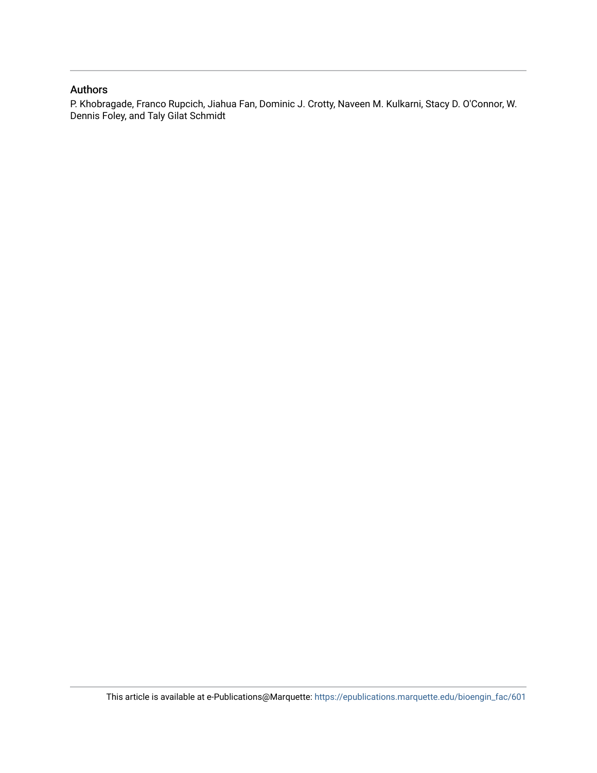#### Authors

P. Khobragade, Franco Rupcich, Jiahua Fan, Dominic J. Crotty, Naveen M. Kulkarni, Stacy D. O'Connor, W. Dennis Foley, and Taly Gilat Schmidt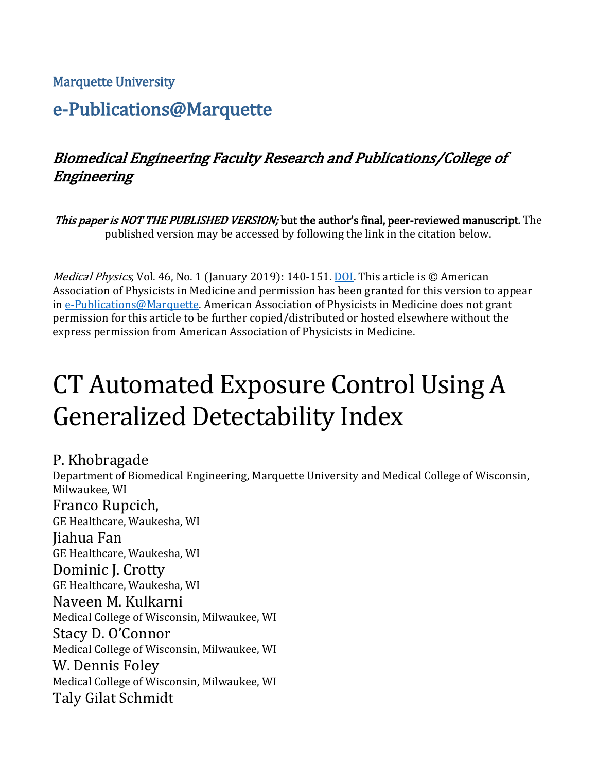#### Marquette University

# e-Publications@Marquette

# Biomedical Engineering Faculty Research and Publications/College of Engineering

This paper is NOT THE PUBLISHED VERSION; but the author's final, peer-reviewed manuscript. The published version may be accessed by following the link in the citation below.

*Medical Physics*, Vol. 46, No. 1 (January 2019): 140-151. [DOI.](https://doi.org/10.1002/mp.13286) This article is © American Association of Physicists in Medicine and permission has been granted for this version to appear i[n e-Publications@Marquette.](http://epublications.marquette.edu/) American Association of Physicists in Medicine does not grant permission for this article to be further copied/distributed or hosted elsewhere without the express permission from American Association of Physicists in Medicine.

# CT Automated Exposure Control Using A Generalized Detectability Index

#### P. Khobragade

Department of Biomedical Engineering, Marquette University and Medical College of Wisconsin, Milwaukee, WI Franco Rupcich, GE Healthcare, Waukesha, WI Jiahua Fan GE Healthcare, Waukesha, WI Dominic J. Crotty GE Healthcare, Waukesha, WI Naveen M. Kulkarni Medical College of Wisconsin, Milwaukee, WI Stacy D. O'Connor Medical College of Wisconsin, Milwaukee, WI W. Dennis Foley Medical College of Wisconsin, Milwaukee, WI Taly Gilat Schmidt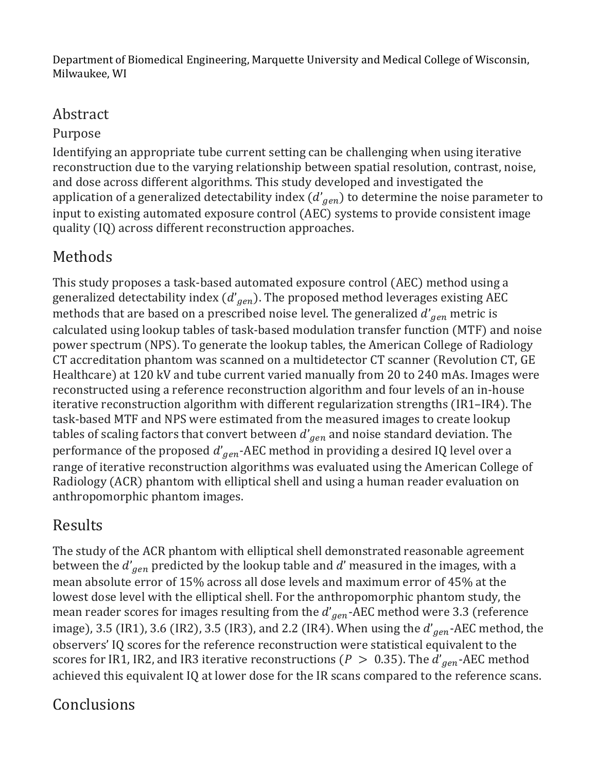Department of Biomedical Engineering, Marquette University and Medical College of Wisconsin, Milwaukee, WI

# Abstract

## Purpose

Identifying an appropriate tube current setting can be challenging when using iterative reconstruction due to the varying relationship between spatial resolution, contrast, noise, and dose across different algorithms. This study developed and investigated the application of a generalized detectability index ( $d^{\prime} _{gen}$ ) to determine the noise parameter to input to existing automated exposure control (AEC) systems to provide consistent image quality (IQ) across different reconstruction approaches.

# Methods

This study proposes a task-based automated exposure control (AEC) method using a generalized detectability index ( $d'\hspace{-1em}{}_{gen}$ ). The proposed method leverages existing AEC  $\hspace{-1em}$ methods that are based on a prescribed noise level. The generalized  $d^{\prime}_{gen}$  metric is calculated using lookup tables of task-based modulation transfer function (MTF) and noise power spectrum (NPS). To generate the lookup tables, the American College of Radiology CT accreditation phantom was scanned on a multidetector CT scanner (Revolution CT, GE Healthcare) at 120 kV and tube current varied manually from 20 to 240 mAs. Images were reconstructed using a reference reconstruction algorithm and four levels of an in-house iterative reconstruction algorithm with different regularization strengths (IR1–IR4). The task-based MTF and NPS were estimated from the measured images to create lookup tables of scaling factors that convert between  $d^{\prime} _{\hspace{0.5mm}gen}$  and noise standard deviation. The performance of the proposed  $d'_{gen}$ -AEC method in providing a desired IQ level over a  $\,$ range of iterative reconstruction algorithms was evaluated using the American College of Radiology (ACR) phantom with elliptical shell and using a human reader evaluation on anthropomorphic phantom images.

# Results

The study of the ACR phantom with elliptical shell demonstrated reasonable agreement between the  $d^{\prime}_{gen}$  predicted by the lookup table and  $d^{\prime}$  measured in the images, with a mean absolute error of 15% across all dose levels and maximum error of 45% at the lowest dose level with the elliptical shell. For the anthropomorphic phantom study, the mean reader scores for images resulting from the  $d'_{gen}$ -AEC method were 3.3 (reference image), 3.5 (IR1), 3.6 (IR2), 3.5 (IR3), and 2.2 (IR4). When using the  $d'_{\it gen}$ -AEC method, the observers' IQ scores for the reference reconstruction were statistical equivalent to the scores for IR1, IR2, and IR3 iterative reconstructions ( $P~>~0.35$ ). The  $a'_{\it gen}$ -AEC method achieved this equivalent IQ at lower dose for the IR scans compared to the reference scans.

# Conclusions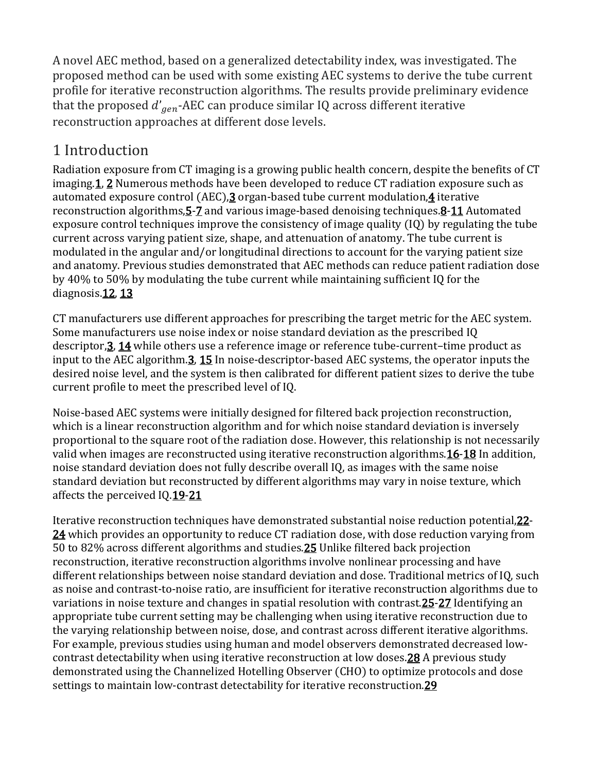A novel AEC method, based on a generalized detectability index, was investigated. The proposed method can be used with some existing AEC systems to derive the tube current profile for iterative reconstruction algorithms. The results provide preliminary evidence that the proposed  $d'_{gen}$ -AEC can produce similar IQ across different iterative reconstruction approaches at different dose levels.

# 1 Introduction

Radiation exposure from CT imaging is a growing public health concern, despite the benefits of CT imagin[g.1,](https://aapm.onlinelibrary.wiley.com/doi/full/10.1002/mp.13286#mp13286-bib-0001) [2](https://aapm.onlinelibrary.wiley.com/doi/full/10.1002/mp.13286#mp13286-bib-0002) Numerous methods have been developed to reduce CT radiation exposure such as automated exposure control (AEC),  $\frac{3}{2}$  organ-based tube current modulation,  $\frac{4}{2}$  iterative reconstruction algorithms[,5](https://aapm.onlinelibrary.wiley.com/doi/full/10.1002/mp.13286#mp13286-bib-0005)[-7](https://aapm.onlinelibrary.wiley.com/doi/full/10.1002/mp.13286#mp13286-bib-0007) and various image-based denoising techniques[.8](https://aapm.onlinelibrary.wiley.com/doi/full/10.1002/mp.13286#mp13286-bib-0008)[-11](https://aapm.onlinelibrary.wiley.com/doi/full/10.1002/mp.13286#mp13286-bib-0011) Automated exposure control techniques improve the consistency of image quality (IQ) by regulating the tube current across varying patient size, shape, and attenuation of anatomy. The tube current is modulated in the angular and/or longitudinal directions to account for the varying patient size and anatomy. Previous studies demonstrated that AEC methods can reduce patient radiation dose by 40% to 50% by modulating the tube current while maintaining sufficient IQ for the diagnosis.<sub>12</sub>, [13](https://aapm.onlinelibrary.wiley.com/doi/full/10.1002/mp.13286#mp13286-bib-0013)

CT manufacturers use different approaches for prescribing the target metric for the AEC system. Some manufacturers use noise index or noise standard deviation as the prescribed IQ descriptor[,3,](https://aapm.onlinelibrary.wiley.com/doi/full/10.1002/mp.13286#mp13286-bib-0003) [14](https://aapm.onlinelibrary.wiley.com/doi/full/10.1002/mp.13286#mp13286-bib-0014) while others use a reference image or reference tube-current–time product as input to the AEC algorithm.**3, [15](https://aapm.onlinelibrary.wiley.com/doi/full/10.1002/mp.13286#mp13286-bib-0015)** In noise-descriptor-based AEC systems, the operator inputs the desired noise level, and the system is then calibrated for different patient sizes to derive the tube current profile to meet the prescribed level of IQ.

Noise-based AEC systems were initially designed for filtered back projection reconstruction, which is a linear reconstruction algorithm and for which noise standard deviation is inversely proportional to the square root of the radiation dose. However, this relationship is not necessarily valid when images are reconstructed using iterative reconstruction algorithms. 16-[18](https://aapm.onlinelibrary.wiley.com/doi/full/10.1002/mp.13286#mp13286-bib-0018) In addition, noise standard deviation does not fully describe overall IQ, as images with the same noise standard deviation but reconstructed by different algorithms may vary in noise texture, which affects the perceived I[Q.19](https://aapm.onlinelibrary.wiley.com/doi/full/10.1002/mp.13286#mp13286-bib-0019)[-21](https://aapm.onlinelibrary.wiley.com/doi/full/10.1002/mp.13286#mp13286-bib-0021)

Iterative reconstruction techniques have demonstrated substantial noise reduction potential[,22-](https://aapm.onlinelibrary.wiley.com/doi/full/10.1002/mp.13286#mp13286-bib-0022) [24](https://aapm.onlinelibrary.wiley.com/doi/full/10.1002/mp.13286#mp13286-bib-0024) which provides an opportunity to reduce CT radiation dose, with dose reduction varying from 50 to 82% across different algorithms and studie[s.25](https://aapm.onlinelibrary.wiley.com/doi/full/10.1002/mp.13286#mp13286-bib-0025) Unlike filtered back projection reconstruction, iterative reconstruction algorithms involve nonlinear processing and have different relationships between noise standard deviation and dose. Traditional metrics of IQ, such as noise and contrast-to-noise ratio, are insufficient for iterative reconstruction algorithms due to variations in noise texture and changes in spatial resolution with contras[t.25](https://aapm.onlinelibrary.wiley.com/doi/full/10.1002/mp.13286#mp13286-bib-0025)[-27](https://aapm.onlinelibrary.wiley.com/doi/full/10.1002/mp.13286#mp13286-bib-0027) Identifying an appropriate tube current setting may be challenging when using iterative reconstruction due to the varying relationship between noise, dose, and contrast across different iterative algorithms. For example, previous studies using human and model observers demonstrated decreased lowcontrast detectability when using iterative reconstruction at low dose[s.28](https://aapm.onlinelibrary.wiley.com/doi/full/10.1002/mp.13286#mp13286-bib-0028) A previous study demonstrated using the Channelized Hotelling Observer (CHO) to optimize protocols and dose settings to maintain low-contrast detectability for iterative reconstruction[.29](https://aapm.onlinelibrary.wiley.com/doi/full/10.1002/mp.13286#mp13286-bib-0029)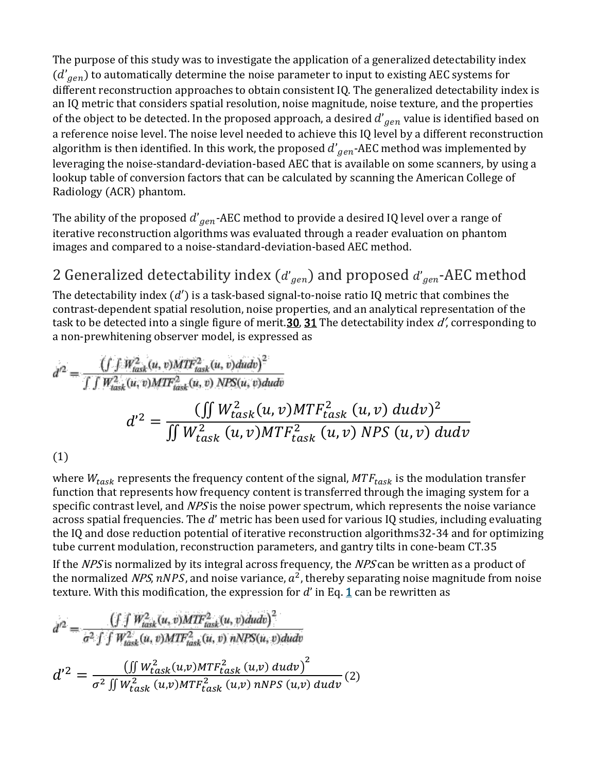The purpose of this study was to investigate the application of a generalized detectability index ( $d^{'}_{\hspace{0.3mm}gen}$ ) to automatically determine the noise parameter to input to existing AEC systems for different reconstruction approaches to obtain consistent IQ. The generalized detectability index is an IQ metric that considers spatial resolution, noise magnitude, noise texture, and the properties of the object to be detected. In the proposed approach, a desired  $d^{\prime} _{\hspace{0.6mm}gen}$  value is identified based on a reference noise level. The noise level needed to achieve this IQ level by a different reconstruction algorithm is then identified. In this work, the proposed  $d^{'}\hspace{-3pt}{}_{gen}$ -AEC method was implemented by leveraging the noise-standard-deviation-based AEC that is available on some scanners, by using a lookup table of conversion factors that can be calculated by scanning the American College of Radiology (ACR) phantom.

The ability of the proposed  $d^{'}_{gen}$ -AEC method to provide a desired IQ level over a range of iterative reconstruction algorithms was evaluated through a reader evaluation on phantom images and compared to a noise-standard-deviation-based AEC method.

# 2 Generalized detectability index ( $d^{\prime}_{gen}$ ) and proposed  $d^{\prime}_{gen}$ -AEC method

The detectability index  $(d')$  is a task-based signal-to-noise ratio IQ metric that combines the contrast-dependent spatial resolution, noise properties, and an analytical representation of the task to be detected into a single figure of merit. **30, [31](https://aapm.onlinelibrary.wiley.com/doi/full/10.1002/mp.13286#mp13286-bib-0031)** The detectability index  $d'$ , corresponding to a non-prewhitening observer model, is expressed as

$$
d^{2} = \frac{\left(\int \int W_{task}^{2}(u, v) M T F_{task}^{2}(u, v) dudv\right)^{2}}{\int \int W_{task}^{2}(u, v) M T F_{task}^{2}(u, v) N T F_{task}^{2}(u, v) M T F_{task}^{2}(u, v) dudv} d^{2} = \frac{\left(\int W_{task}^{2}(u, v) M T F_{task}^{2}(u, v) dudv\right)^{2}}{\int \int W_{task}^{2}(u, v) M T F_{task}^{2}(u, v) N T F_{task}^{2}(u, v) N T F_{task}^{2}(u, v) dudv} (1)
$$

where  $W_{task}$  represents the frequency content of the signal,  $MTF_{task}$  is the modulation transfer function that represents how frequency content is transferred through the imaging system for a specific contrast level, and  $NPS$  is the noise power spectrum, which represents the noise variance across spatial frequencies. The  $d'$  metric has been used for various IQ studies, including evaluating the IQ and dose reduction potential of iterative reconstruction algorithm[s32](https://aapm.onlinelibrary.wiley.com/doi/full/10.1002/mp.13286#mp13286-bib-0032)[-34](https://aapm.onlinelibrary.wiley.com/doi/full/10.1002/mp.13286#mp13286-bib-0034) and for optimizing tube current modulation, reconstruction parameters, and gantry tilts in cone-beam C[T.35](https://aapm.onlinelibrary.wiley.com/doi/full/10.1002/mp.13286#mp13286-bib-0035)

If the NPS is normalized by its integral across frequency, the NPS can be written as a product of the normalized NPS, nNPS, and noise variance,  $a^2$ , thereby separating noise magnitude from noise texture. With this modification, the expression for  $d'$  in Eq. [1](https://aapm.onlinelibrary.wiley.com/doi/full/10.1002/mp.13286#mp13286-disp-0001) can be rewritten as

$$
d'^2 = \frac{\left(\int \int W_{task}^2(u,v) M T F_{task}^2(u,v) du dv\right)^2}{\sigma^2 \int \int W_{task}^2(u,v) M T F_{task}^2(u,v) n N P S(u,v) du dv}
$$
  

$$
d'^2 = \frac{\left(\int W_{task}^2(u,v) M T F_{task}^2(u,v) n N P S(u,v) du dv\right)^2}{\sigma^2 \int \int W_{task}^2(u,v) M T F_{task}^2(u,v) n N P S(u,v) du dv}
$$
(2)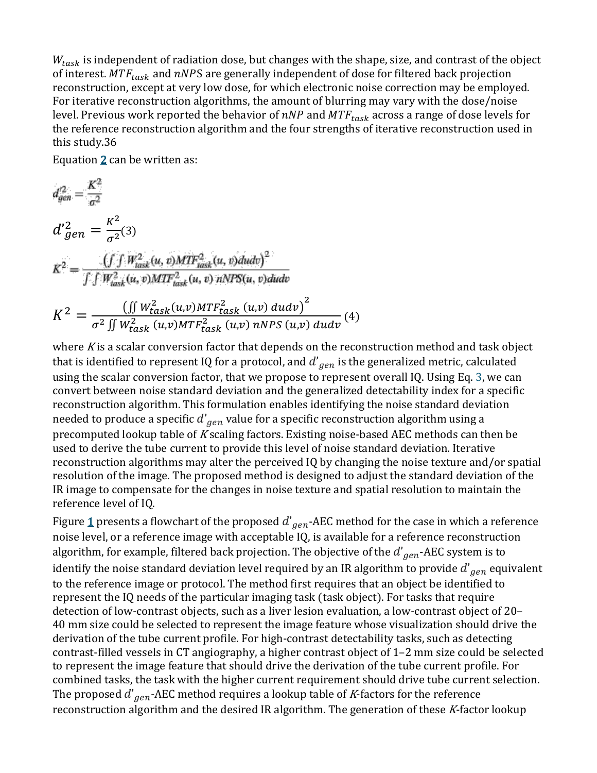$W_{task}$  is independent of radiation dose, but changes with the shape, size, and contrast of the object of interest.  $MTF_{task}$  and  $nNPS$  are generally independent of dose for filtered back projection reconstruction, except at very low dose, for which electronic noise correction may be employed. For iterative reconstruction algorithms, the amount of blurring may vary with the dose/noise level. Previous work reported the behavior of  $nNP$  and  $MTF_{task}$  across a range of dose levels for the reference reconstruction algorithm and the four strengths of iterative reconstruction used in this study[.36](https://aapm.onlinelibrary.wiley.com/doi/full/10.1002/mp.13286#mp13286-bib-0036)

Equation  $2$  can be written as:

$$
d_{gen}^{22} = \frac{K^{2}}{\sigma^{2}}
$$
\n
$$
d'_{gen}^{2} = \frac{K^{2}}{\sigma^{2}}(3)
$$
\n
$$
K^{2} = \frac{\left(\int f W_{task}^{2}(u, v) M T F_{task}^{2}(u, v) du dv\right)^{2}}{\int \int W_{task}^{2}(u, v) M T F_{task}^{2}(u, v) n N P S(u, v) du dv}
$$
\n
$$
K^{2} = \frac{\left(\int W_{task}^{2}(u, v) M T F_{task}^{2}(u, v) du dv\right)^{2}}{\sigma^{2} \int W_{task}^{2}(u, v) M T F_{task}^{2}(u, v) n N P S(u, v) du dv}
$$
\n
$$
(4)
$$

where  $K$  is a scalar conversion factor that depends on the reconstruction method and task object that is identified to represent IQ for a protocol, and  $d^{\prime}{}_{gen}$  is the generalized metric, calculated using the scalar conversion factor, that we propose to represent overall IQ. Using Eq. [3,](https://aapm.onlinelibrary.wiley.com/doi/full/10.1002/mp.13286#mp13286-disp-0003) we can convert between noise standard deviation and the generalized detectability index for a specific reconstruction algorithm. This formulation enables identifying the noise standard deviation needed to produce a specific  $d^{\prime} _{\hspace{0.3em}gen}$  value for a specific reconstruction algorithm using a precomputed lookup table of <sup>K</sup> scaling factors. Existing noise-based AEC methods can then be used to derive the tube current to provide this level of noise standard deviation. Iterative reconstruction algorithms may alter the perceived IQ by changing the noise texture and/or spatial resolution of the image. The proposed method is designed to adjust the standard deviation of the IR image to compensate for the changes in noise texture and spatial resolution to maintain the reference level of IQ.

Figure <u>[1](https://aapm.onlinelibrary.wiley.com/doi/full/10.1002/mp.13286#mp13286-fig-0001)</u> presents a flowchart of the proposed  $d'_{gen}$ -AEC method for the case in which a reference noise level, or a reference image with acceptable IQ, is available for a reference reconstruction algorithm, for example, filtered back projection. The objective of the  $d^{\prime} _{\hspace{0.5mm}gen}$ -AEC system is to identify the noise standard deviation level required by an IR algorithm to provide  $d^{\prime} _{\hspace{0.6mm}gen}$  equivalent to the reference image or protocol. The method first requires that an object be identified to represent the IQ needs of the particular imaging task (task object). For tasks that require detection of low-contrast objects, such as a liver lesion evaluation, a low-contrast object of 20– 40 mm size could be selected to represent the image feature whose visualization should drive the derivation of the tube current profile. For high-contrast detectability tasks, such as detecting contrast-filled vessels in CT angiography, a higher contrast object of 1–2 mm size could be selected to represent the image feature that should drive the derivation of the tube current profile. For combined tasks, the task with the higher current requirement should drive tube current selection. The proposed  $d^{\prime}_{gen}$ -AEC method requires a lookup table of *K*-factors for the reference reconstruction algorithm and the desired IR algorithm. The generation of these  $K$ -factor lookup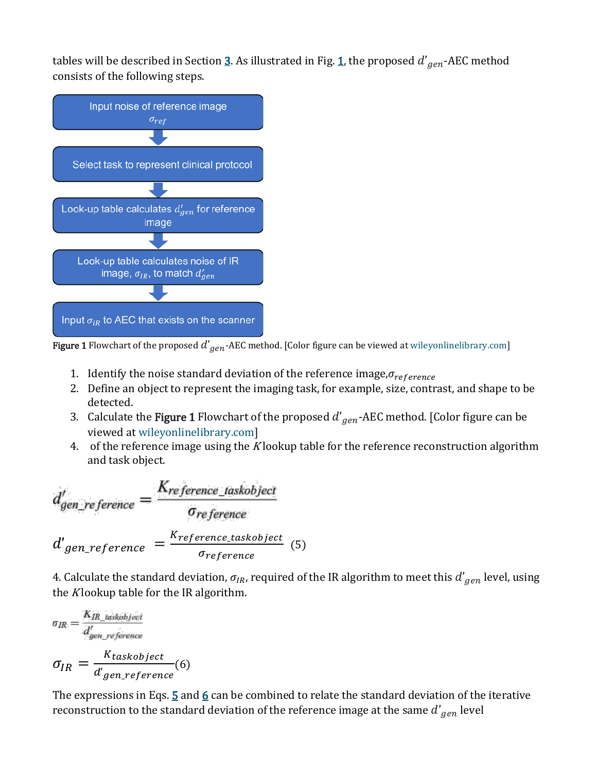tables will be described in Section <u>3</u>. As illustrated in Fig. <u>1</u>, the proposed  $d^{\prime} _{\hspace{0.1em}gen}$ -AEC method consists of the following steps.



**Figure 1** Flowchart of the proposed  $d'_{gen}$ -AEC method. [Color figure can be viewed at [wileyonlinelibrary.com\]](http://wileyonlinelibrary.com/)

- 1. Identify the noise standard deviation of the reference image,  $\sigma_{reference}$
- 2. Define an object to represent the imaging task, for example, size, contrast, and shape to be detected.
- 3.  $\,$  Calculate the **Figure 1** Flowchart of the proposed  $d^{'}_{\,gen}$  -AEC method. [Color figure can be viewed at [wileyonlinelibrary.com\]](http://wileyonlinelibrary.com/)
- 4. of the reference image using the K lookup table for the reference reconstruction algorithm and task object.

$$
d'_{gen\_reference} = \frac{K_{reference\_taskobject}}{\sigma_{reference}}
$$

$$
d'_{gen\_reference} = \frac{K_{reference\_taskobject}}{\sigma_{reference}}
$$
(5)

4. Calculate the standard deviation,  $\sigma_{IR}$ , required of the IR algorithm to meet this  $d^{\prime}_{gen}$  level, using the  $K$ lookup table for the IR algorithm.

$$
\sigma_{IR} = \frac{K_{IR\_taskobject}}{d'_{gen\_reference}}
$$
\n
$$
\sigma_{IR} = \frac{K_{taskobject}}{d'gen\_reference}
$$
\n(6)

 $\frac{1}{2} \left( \frac{1}{2} \right) \left( \frac{1}{2} \right) \left( \frac{1}{2} \right)$ 

The expressions in Eqs.  $\frac{5}{9}$  $\frac{5}{9}$  $\frac{5}{9}$  and  $\frac{6}{9}$  $\frac{6}{9}$  $\frac{6}{9}$  can be combined to relate the standard deviation of the iterative reconstruction to the standard deviation of the reference image at the same  $d^{\prime} _{\hspace{0.1em}gen}$  level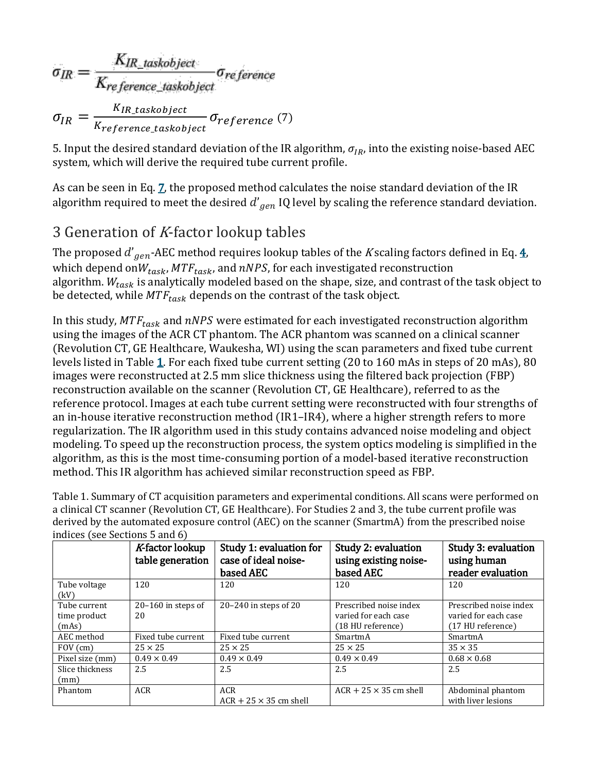$$
\sigma_{IR} = \frac{K_{IR\_taskobject}}{K_{reference\_taskobject}} \sigma_{reference} \sigma_{IR}
$$
\n
$$
\sigma_{IR} = \frac{K_{IR\_taskobject}}{K_{reference\_taskobject}} \sigma_{reference} \text{ (7)}}
$$

5. Input the desired standard deviation of the IR algorithm,  $\sigma_{IR}$ , into the existing noise-based AEC system, which will derive the required tube current profile.

As can be seen in Eq.  $Z$ , the proposed method calculates the noise standard deviation of the IR algorithm required to meet the desired  $d^{\prime} _{\hspace{0.5mm}gen}$  IQ level by scaling the reference standard deviation.

## 3 Generation of <sup>K</sup>-factor lookup tables

The proposed  $d'_{\hspace{0.8em}gen}$ -AEC method requires lookup tables of the  $K$ scaling factors defined in Eq.  $\underline{4}$ , which depend on $W_{task}$ , MT $F_{task}$ , and nNPS, for each investigated reconstruction algorithm.  $W_{task}$  is analytically modeled based on the shape, size, and contrast of the task object to be detected, while  $MTF_{task}$  depends on the contrast of the task object.

In this study,  $MTF_{task}$  and  $nNPS$  were estimated for each investigated reconstruction algorithm using the images of the ACR CT phantom. The ACR phantom was scanned on a clinical scanner (Revolution CT, GE Healthcare, Waukesha, WI) using the scan parameters and fixed tube current levels listed in Table [1.](https://aapm.onlinelibrary.wiley.com/doi/full/10.1002/mp.13286#mp13286-tbl-0001) For each fixed tube current setting (20 to 160 mAs in steps of 20 mAs), 80 images were reconstructed at 2.5 mm slice thickness using the filtered back projection (FBP) reconstruction available on the scanner (Revolution CT, GE Healthcare), referred to as the reference protocol. Images at each tube current setting were reconstructed with four strengths of an in-house iterative reconstruction method (IR1–IR4), where a higher strength refers to more regularization. The IR algorithm used in this study contains advanced noise modeling and object modeling. To speed up the reconstruction process, the system optics modeling is simplified in the algorithm, as this is the most time-consuming portion of a model-based iterative reconstruction method. This IR algorithm has achieved similar reconstruction speed as FBP.

Table 1. Summary of CT acquisition parameters and experimental conditions. All scans were performed on a clinical CT scanner (Revolution CT, GE Healthcare). For Studies 2 and 3, the tube current profile was derived by the automated exposure control (AEC) on the scanner (SmartmA) from the prescribed noise indices (see Sections [5](https://aapm.onlinelibrary.wiley.com/doi/full/10.1002/mp.13286#mp13286-sec-0011) and [6\)](https://aapm.onlinelibrary.wiley.com/doi/full/10.1002/mp.13286#mp13286-sec-0014)

|                                       | K-factor lookup<br>table generation | Study 1: evaluation for<br>case of ideal noise-<br>based AEC | <b>Study 2: evaluation</b><br>using existing noise-<br>based AEC    | Study 3: evaluation<br>using human<br>reader evaluation             |
|---------------------------------------|-------------------------------------|--------------------------------------------------------------|---------------------------------------------------------------------|---------------------------------------------------------------------|
| Tube voltage<br>(kV)                  | 120                                 | 120                                                          | 120                                                                 | 120                                                                 |
| Tube current<br>time product<br>(mAs) | $20-160$ in steps of<br>20          | $20 - 240$ in steps of 20                                    | Prescribed noise index<br>varied for each case<br>(18 HU reference) | Prescribed noise index<br>varied for each case<br>(17 HU reference) |
| AEC method                            | Fixed tube current                  | Fixed tube current                                           | SmartmA                                                             | SmartmA                                                             |
| $FOV$ (cm)                            | $25 \times 25$                      | $25 \times 25$                                               | $25 \times 25$                                                      | $35 \times 35$                                                      |
| Pixel size (mm)                       | $0.49 \times 0.49$                  | $0.49 \times 0.49$                                           | $0.49 \times 0.49$                                                  | $0.68 \times 0.68$                                                  |
| Slice thickness<br>(mm)               | 2.5                                 | 2.5                                                          | 2.5                                                                 | 2.5                                                                 |
| Phantom                               | <b>ACR</b>                          | <b>ACR</b><br>$ACR + 25 \times 35$ cm shell                  | $ACR + 25 \times 35$ cm shell                                       | Abdominal phantom<br>with liver lesions                             |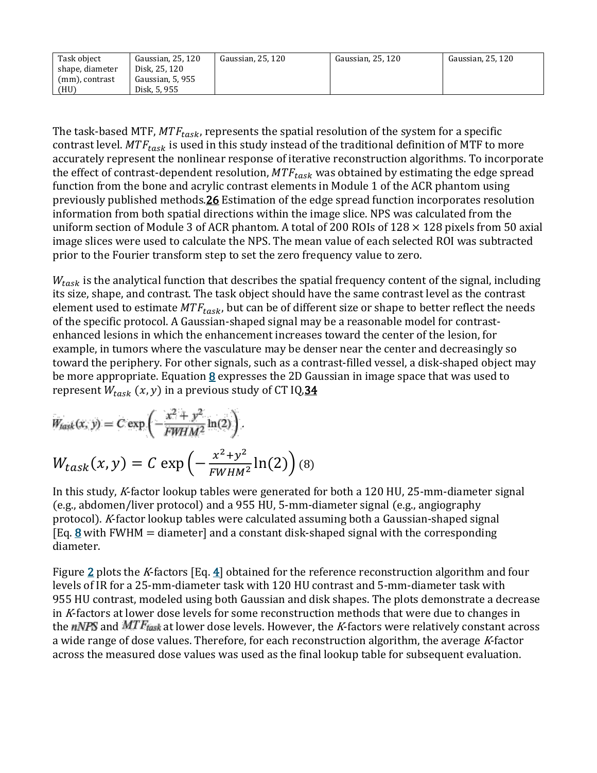| Task object     | Gaussian, 25, 120 | Gaussian, 25, 120 | Gaussian, 25, 120 | Gaussian, 25, 120 |
|-----------------|-------------------|-------------------|-------------------|-------------------|
| shape, diameter | Disk, 25, 120     |                   |                   |                   |
| (mm), contrast  | Gaussian, 5, 955  |                   |                   |                   |
| (HU)            | Disk, 5, 955      |                   |                   |                   |

The task-based MTF,  $MTF_{task}$ , represents the spatial resolution of the system for a specific contrast level.  $MTF_{task}$  is used in this study instead of the traditional definition of MTF to more accurately represent the nonlinear response of iterative reconstruction algorithms. To incorporate the effect of contrast-dependent resolution,  $MTF_{task}$  was obtained by estimating the edge spread function from the bone and acrylic contrast elements in Module 1 of the ACR phantom using previously published method[s.26](https://aapm.onlinelibrary.wiley.com/doi/full/10.1002/mp.13286#mp13286-bib-0026) Estimation of the edge spread function incorporates resolution information from both spatial directions within the image slice. NPS was calculated from the uniform section of Module 3 of ACR phantom. A total of 200 ROIs of  $128 \times 128$  pixels from 50 axial image slices were used to calculate the NPS. The mean value of each selected ROI was subtracted prior to the Fourier transform step to set the zero frequency value to zero.

 $W_{task}$  is the analytical function that describes the spatial frequency content of the signal, including its size, shape, and contrast. The task object should have the same contrast level as the contrast element used to estimate  $MTF_{task}$ , but can be of different size or shape to better reflect the needs of the specific protocol. A Gaussian-shaped signal may be a reasonable model for contrastenhanced lesions in which the enhancement increases toward the center of the lesion, for example, in tumors where the vasculature may be denser near the center and decreasingly so toward the periphery. For other signals, such as a contrast-filled vessel, a disk-shaped object may be more appropriate. Equation  $8$  expresses the 2D Gaussian in image space that was used to represent  $W_{task} (x, y)$  in a previous study of CT IQ, 34

$$
W_{task}(x, y) = C \exp\left(-\frac{x^2 + y^2}{FWHM^2} \ln(2)\right)
$$

$$
W_{task}(x, y) = C \exp\left(-\frac{x^2 + y^2}{FWHM^2} \ln(2)\right)
$$
(8)

In this study, <sup>K</sup>-factor lookup tables were generated for both a 120 HU, 25-mm-diameter signal (e.g., abdomen/liver protocol) and a 955 HU, 5-mm-diameter signal (e.g., angiography protocol). <sup>K</sup>-factor lookup tables were calculated assuming both a Gaussian-shaped signal [Eq. [8](https://aapm.onlinelibrary.wiley.com/doi/full/10.1002/mp.13286#mp13286-disp-0008) with FWHM = diameter] and a constant disk-shaped signal with the corresponding diameter.

Figure [2](https://aapm.onlinelibrary.wiley.com/doi/full/10.1002/mp.13286#mp13286-fig-0002) plots the K-factors [Eq. [4\]](https://aapm.onlinelibrary.wiley.com/doi/full/10.1002/mp.13286#mp13286-disp-0004) obtained for the reference reconstruction algorithm and four levels of IR for a 25-mm-diameter task with 120 HU contrast and 5-mm-diameter task with 955 HU contrast, modeled using both Gaussian and disk shapes. The plots demonstrate a decrease in <sup>K</sup>-factors at lower dose levels for some reconstruction methods that were due to changes in the nNPS and  $MTE_{task}$  at lower dose levels. However, the K-factors were relatively constant across a wide range of dose values. Therefore, for each reconstruction algorithm, the average K-factor across the measured dose values was used as the final lookup table for subsequent evaluation.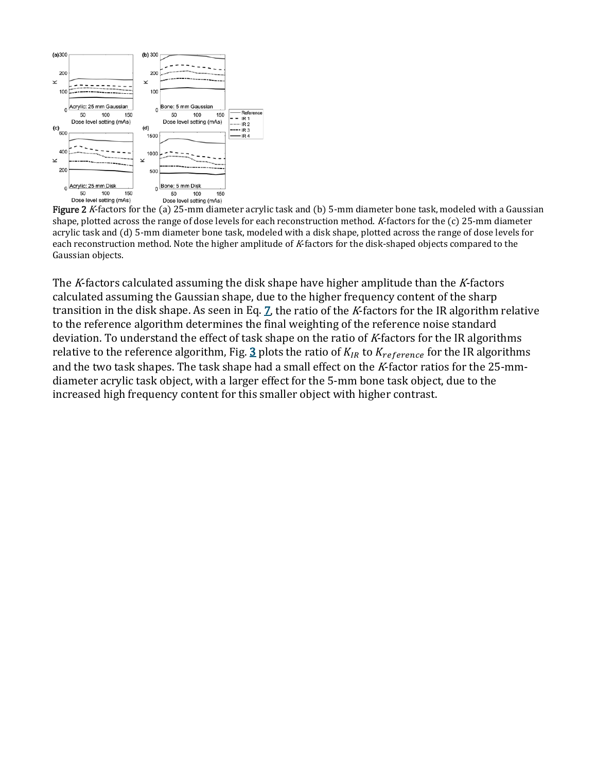

Figure 2 K-factors for the (a) 25-mm diameter acrylic task and (b) 5-mm diameter bone task, modeled with a Gaussian shape, plotted across the range of dose levels for each reconstruction method. <sup>K</sup>-factors for the (c) 25-mm diameter acrylic task and (d) 5-mm diameter bone task, modeled with a disk shape, plotted across the range of dose levels for each reconstruction method. Note the higher amplitude of K-factors for the disk-shaped objects compared to the Gaussian objects.

The K-factors calculated assuming the disk shape have higher amplitude than the K-factors calculated assuming the Gaussian shape, due to the higher frequency content of the sharp transition in the disk shape. As seen in Eq.  $Z$ , the ratio of the K-factors for the IR algorithm relative to the reference algorithm determines the final weighting of the reference noise standard deviation. To understand the effect of task shape on the ratio of K-factors for the IR algorithms relative to the reference algorithm, Fig.  $\underline{3}$  $\underline{3}$  $\underline{3}$  plots the ratio of  $K_{IR}$  to  $K_{reference}$  for the IR algorithms and the two task shapes. The task shape had a small effect on the K-factor ratios for the 25-mmdiameter acrylic task object, with a larger effect for the 5-mm bone task object, due to the increased high frequency content for this smaller object with higher contrast.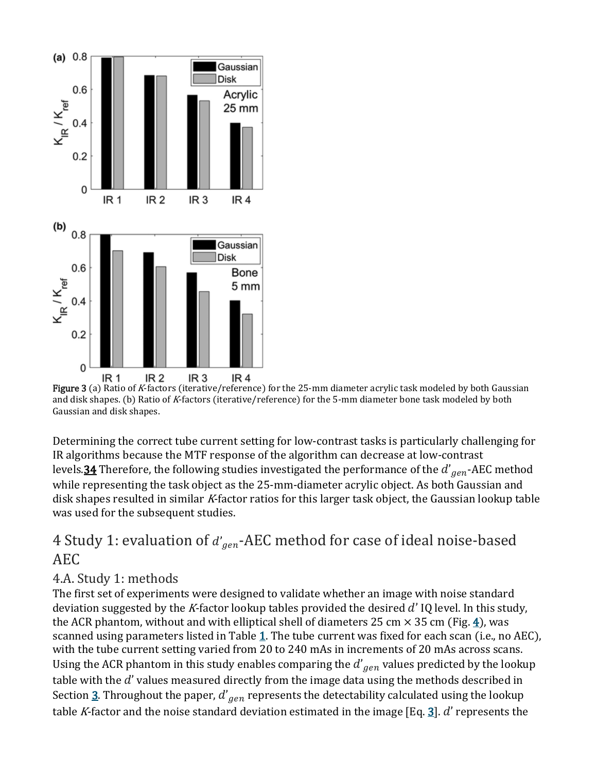

Figure 3 (a) Ratio of <sup>K</sup>-factors (iterative/reference) for the 25-mm diameter acrylic task modeled by both Gaussian and disk shapes. (b) Ratio of <sup>K</sup>-factors (iterative/reference) for the 5-mm diameter bone task modeled by both Gaussian and disk shapes.

Determining the correct tube current setting for low-contrast tasks is particularly challenging for IR algorithms because the MTF response of the algorithm can decrease at low-contrast levels.<mark>34</mark> Therefore, the following studies investigated the performance of the  $d^{\prime}_{gen}$ -AEC method while representing the task object as the 25-mm-diameter acrylic object. As both Gaussian and disk shapes resulted in similar K-factor ratios for this larger task object, the Gaussian lookup table was used for the subsequent studies.

#### $4$  Study 1: evaluation of  $d^{\prime}_{gen}$ -AEC method for case of ideal noise-based  $\,$ AEC

#### 4.A. Study 1: methods

The first set of experiments were designed to validate whether an image with noise standard deviation suggested by the K-factor lookup tables provided the desired  $d'$  IQ level. In this study, the ACR phantom, without and with elliptical shell of diameters 25 cm  $\times$  35 cm (Fig. [4\)](https://aapm.onlinelibrary.wiley.com/doi/full/10.1002/mp.13286#mp13286-fig-0004), was scanned using parameters listed in Table  $1$ . The tube current was fixed for each scan (i.e., no AEC), with the tube current setting varied from 20 to 240 mAs in increments of 20 mAs across scans. Using the ACR phantom in this study enables comparing the  $d^{'}_{\hspace{0.1em}gen}$  values predicted by the lookup table with the  $d'$  values measured directly from the image data using the methods described in Section <u>3</u>. Throughout the paper,  $d^{'}_{\hspace{0.1em}gen}$  represents the detectability calculated using the lookup table K-factor and the noise standard deviation estimated in the image [Eq.  $\frac{3}{7}$ ]. d' represents the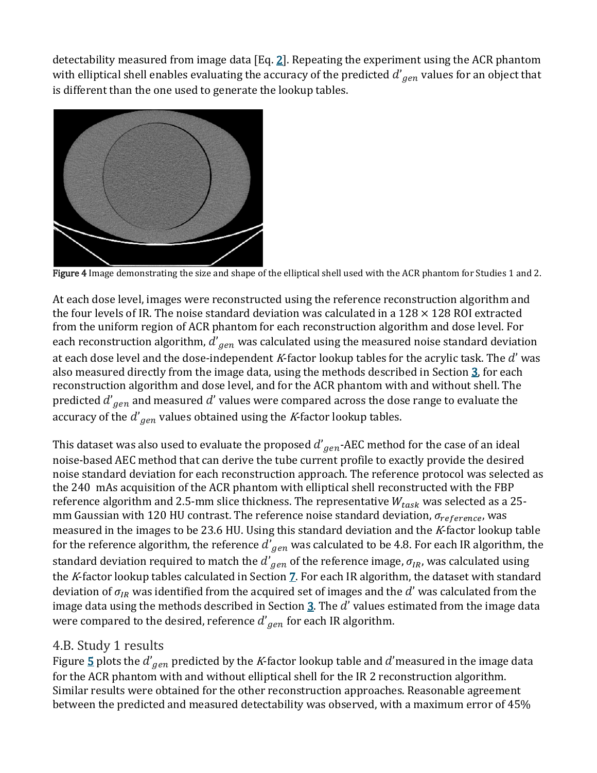detectability measured from image data  $[Eq, 2]$  $[Eq, 2]$ . Repeating the experiment using the ACR phantom with elliptical shell enables evaluating the accuracy of the predicted  $d^{'}\hspace{-3pt}{}_{gen}$  values for an object that  $\hspace{.06cm}$ is different than the one used to generate the lookup tables.



Figure 4 Image demonstrating the size and shape of the elliptical shell used with the ACR phantom for Studies 1 and 2.

At each dose level, images were reconstructed using the reference reconstruction algorithm and the four levels of IR. The noise standard deviation was calculated in a  $128 \times 128$  ROI extracted from the uniform region of ACR phantom for each reconstruction algorithm and dose level. For each reconstruction algorithm,  $d^{'}_{\hspace{0.1em}gen}$  was calculated using the measured noise standard deviation at each dose level and the dose-independent K-factor lookup tables for the acrylic task. The  $d'$  was also measured directly from the image data, using the methods described in Section [3,](https://aapm.onlinelibrary.wiley.com/doi/full/10.1002/mp.13286#mp13286-sec-0007) for each reconstruction algorithm and dose level, and for the ACR phantom with and without shell. The predicted  $d^{\prime}_{\phantom{\prime}gen}$  and measured  $d^{\prime}$  values were compared across the dose range to evaluate the accuracy of the  $d'_{\mathit{gen}}$  values obtained using the *K*-factor lookup tables.

This dataset was also used to evaluate the proposed  $d^{\prime} _{\hspace{0.5mm}gen}$ -AEC method for the case of an ideal  $^{\prime}$ noise-based AEC method that can derive the tube current profile to exactly provide the desired noise standard deviation for each reconstruction approach. The reference protocol was selected as the 240 mAs acquisition of the ACR phantom with elliptical shell reconstructed with the FBP reference algorithm and 2.5-mm slice thickness. The representative  $W_{task}$  was selected as a 25mm Gaussian with 120 HU contrast. The reference noise standard deviation,  $\sigma_{reference}$ , was measured in the images to be 23.6 HU. Using this standard deviation and the <sup>K</sup>-factor lookup table for the reference algorithm, the reference  $d^{\prime} _{gen}$  was calculated to be 4.8. For each IR algorithm, the standard deviation required to match the  $d'_{\hspace{1pt}gen}$  of the reference image,  $\sigma_{IR}$ , was calculated using the K-factor lookup tables calculated in Section [7.](https://aapm.onlinelibrary.wiley.com/doi/full/10.1002/mp.13286#mp13286-sec-0007) For each IR algorithm, the dataset with standard deviation of  $\sigma_{IR}$  was identified from the acquired set of images and the d' was calculated from the image data using the methods described in Section  $\underline{3}$ . The  $d'$  values estimated from the image data were compared to the desired, reference  $d^{\prime} _{\hspace{0.5mm}gen}$  for each IR algorithm.

#### 4.B. Study 1 results

Figure <u>[5](https://aapm.onlinelibrary.wiley.com/doi/full/10.1002/mp.13286#mp13286-fig-0005)</u> plots the  $d'_{gen}$  predicted by the *K*-factor lookup table and  $d'$ measured in the image data for the ACR phantom with and without elliptical shell for the IR 2 reconstruction algorithm. Similar results were obtained for the other reconstruction approaches. Reasonable agreement between the predicted and measured detectability was observed, with a maximum error of 45%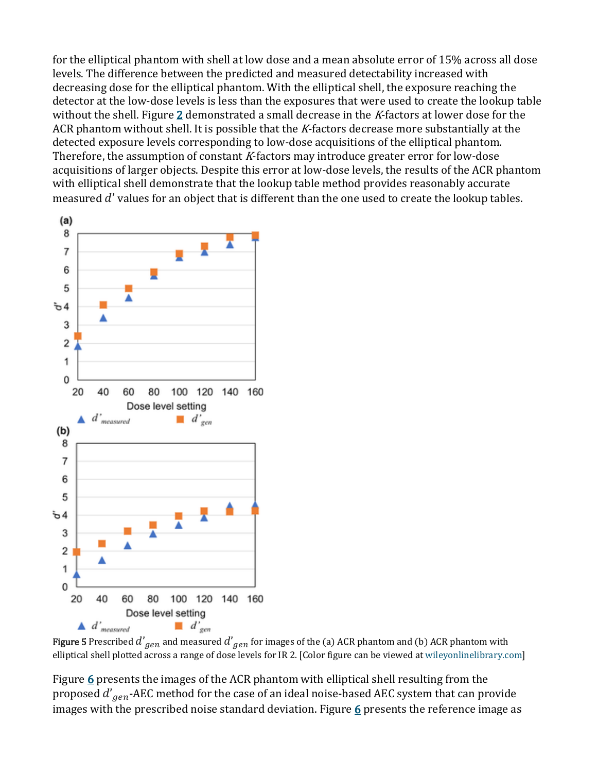for the elliptical phantom with shell at low dose and a mean absolute error of 15% across all dose levels. The difference between the predicted and measured detectability increased with decreasing dose for the elliptical phantom. With the elliptical shell, the exposure reaching the detector at the low-dose levels is less than the exposures that were used to create the lookup table without the shell. Figure [2](https://aapm.onlinelibrary.wiley.com/doi/full/10.1002/mp.13286#mp13286-fig-0002) demonstrated a small decrease in the K-factors at lower dose for the ACR phantom without shell. It is possible that the  $K$ -factors decrease more substantially at the detected exposure levels corresponding to low-dose acquisitions of the elliptical phantom. Therefore, the assumption of constant K-factors may introduce greater error for low-dose acquisitions of larger objects. Despite this error at low-dose levels, the results of the ACR phantom with elliptical shell demonstrate that the lookup table method provides reasonably accurate measured  $d'$  values for an object that is different than the one used to create the lookup tables.



**Figure 5** Prescribed  $d'_{gen}$  and measured  $d'_{gen}$  for images of the (a) ACR phantom and (b) ACR phantom with elliptical shell plotted across a range of dose levels for IR 2. [Color figure can be viewed at [wileyonlinelibrary.com\]](http://wileyonlinelibrary.com/)

Figure [6](https://aapm.onlinelibrary.wiley.com/doi/full/10.1002/mp.13286#mp13286-fig-0006) presents the images of the ACR phantom with elliptical shell resulting from the proposed  $d^{\prime}_{gen}$ -AEC method for the case of an ideal noise-based AEC system that can provide images with the prescribed noise standard deviation. Figure  $6$  presents the reference image as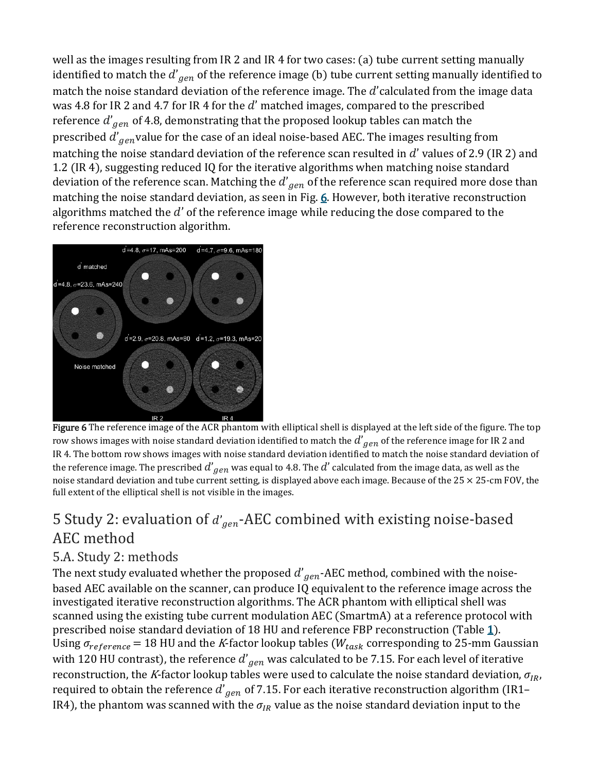well as the images resulting from IR 2 and IR 4 for two cases: (a) tube current setting manually identified to match the  $d^{'}_{\hspace{0.5mm}gen}$  of the reference image (b) tube current setting manually identified to match the noise standard deviation of the reference image. The  $d'$  calculated from the image data was 4.8 for IR 2 and 4.7 for IR 4 for the  $d'$  matched images, compared to the prescribed reference  $d^{'}_{\hspace{0.3em}gen}$  of 4.8, demonstrating that the proposed lookup tables can match the prescribed  $d^{\prime}_{\phantom{\prime}gen}$ value for the case of an ideal noise-based AEC. The images resulting from matching the noise standard deviation of the reference scan resulted in  $d'$  values of 2.9 (IR 2) and 1.2 (IR 4), suggesting reduced IQ for the iterative algorithms when matching noise standard deviation of the reference scan. Matching the  $d^{'}_{\hspace{0.3mm}gen}$  of the reference scan required more dose than matching the noise standard deviation, as seen in Fig. [6.](https://aapm.onlinelibrary.wiley.com/doi/full/10.1002/mp.13286#mp13286-fig-0006) However, both iterative reconstruction algorithms matched the  $d'$  of the reference image while reducing the dose compared to the reference reconstruction algorithm.



Figure 6 The reference image of the ACR phantom with elliptical shell is displayed at the left side of the figure. The top row shows images with noise standard deviation identified to match the  $d^{'}g_{\ell n}$  of the reference image for IR 2 and IR 4. The bottom row shows images with noise standard deviation identified to match the noise standard deviation of the reference image. The prescribed  $d'_{\,gen}$  was equal to 4.8. The  $d'$  calculated from the image data, as well as the noise standard deviation and tube current setting, is displayed above each image. Because of the  $25 \times 25$ -cm FOV, the full extent of the elliptical shell is not visible in the images.

# 5 Study 2: evaluation of  $d'_{gen}$ -AEC combined with existing noise-based  $\,$ AEC method

#### 5.A. Study 2: methods

The next study evaluated whether the proposed  $d^{\prime}_{gen}$ -AEC method, combined with the noisebased AEC available on the scanner, can produce IQ equivalent to the reference image across the investigated iterative reconstruction algorithms. The ACR phantom with elliptical shell was scanned using the existing tube current modulation AEC (SmartmA) at a reference protocol with prescribed noise standard deviation of 18 HU and reference FBP reconstruction (Table [1\)](https://aapm.onlinelibrary.wiley.com/doi/full/10.1002/mp.13286#mp13286-tbl-0001). Using  $\sigma_{reference}$  = 18 HU and the *K*-factor lookup tables ( $W_{task}$  corresponding to 25-mm Gaussian with  $120$  HU contrast), the reference  $d^{'}_{\hspace{0.3mm}gen}$  was calculated to be 7.15. For each level of iterative reconstruction, the K-factor lookup tables were used to calculate the noise standard deviation,  $\sigma_{IR}$ , required to obtain the reference  $d^{\prime}_{gen}$  of 7.15. For each iterative reconstruction algorithm (IR1– IR4), the phantom was scanned with the  $\sigma_{IR}$  value as the noise standard deviation input to the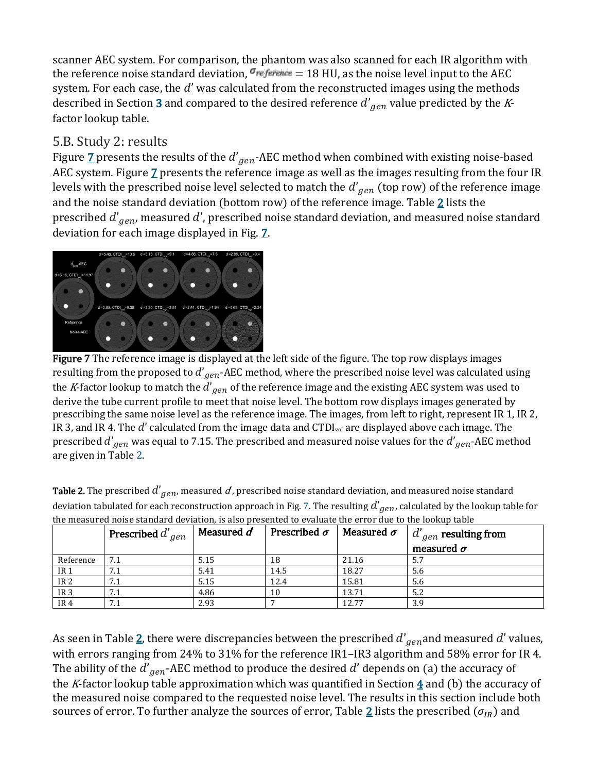scanner AEC system. For comparison, the phantom was also scanned for each IR algorithm with the reference noise standard deviation,  $\sigma_{reference} = 18$  HU, as the noise level input to the AEC system. For each case, the  $d'$  was calculated from the reconstructed images using the methods described in Section <u>[3](https://aapm.onlinelibrary.wiley.com/doi/full/10.1002/mp.13286#mp13286-sec-0007)</u> and compared to the desired reference  $d^{\prime}_{\phantom{\prime}gen}$  value predicted by the *K*factor lookup table.

#### 5.B. Study 2: results

Figure <u>[7](https://aapm.onlinelibrary.wiley.com/doi/full/10.1002/mp.13286#mp13286-fig-0007)</u> presents the results of the  $d'_{gen}$ -AEC method when combined with existing noise-based AEC system. Figure  $\overline{Z}$  presents the reference image as well as the images resulting from the four IR levels with the prescribed noise level selected to match the  $d^{\prime}_{\phantom{\prime}gen}$  (top row) of the reference image and the noise standard deviation (bottom row) of the reference image. Table  $2$  lists the prescribed  $d^{\prime} _{\hspace{0.3mm}gen}$ , measured  $d^{\prime}$ , prescribed noise standard deviation, and measured noise standard deviation for each image displayed in Fig. [7.](https://aapm.onlinelibrary.wiley.com/doi/full/10.1002/mp.13286#mp13286-fig-0007)



Figure 7 The reference image is displayed at the left side of the figure. The top row displays images resulting from the proposed to  $d'_{gen}$ -AEC method, where the prescribed noise level was calculated using the *K*-factor lookup to match the  $d'_{gen}$  of the reference image and the existing AEC system was used to derive the tube current profile to meet that noise level. The bottom row displays images generated by prescribing the same noise level as the reference image. The images, from left to right, represent IR 1, IR 2, IR 3, and IR 4. The  $d'$  calculated from the image data and CTDI<sub>vol</sub> are displayed above each image. The prescribed  $d^{\prime}_{gen}$  was equal to 7.15. The prescribed and measured noise values for the  $d^{\prime}_{gen}$ -AEC method are given in Table [2.](https://aapm.onlinelibrary.wiley.com/doi/full/10.1002/mp.13286#mp13286-tbl-0002)

|                 | Prescribed $d'_{gen}$ | Measured $d$ | Prescribed $\sigma$ | Measured $\sigma$ | $d'_{gen}$ resulting from |
|-----------------|-----------------------|--------------|---------------------|-------------------|---------------------------|
|                 |                       |              |                     |                   | measured $\sigma$         |
| Reference       |                       | 5.15         | 18                  | 21.16             | 5.7                       |
| IR <sub>1</sub> | 7.1                   | 5.41         | 14.5                | 18.27             | 5.6                       |
| IR <sub>2</sub> | 7.1                   | 5.15         | 12.4                | 15.81             | 5.6                       |
| IR <sub>3</sub> | 7.1                   | 4.86         | 10                  | 13.71             | 5.2                       |
| IR <sub>4</sub> | 7.1                   | 2.93         |                     | 12.77             | 3.9                       |

**Table 2.** The prescribed  $d'_{gen}$ , measured  $d$  , prescribed noise standard deviation, and measured noise standard deviation tabulated for each reconstruction approach in Fig. [7.](https://aapm.onlinelibrary.wiley.com/doi/full/10.1002/mp.13286#mp13286-fig-0007) The resulting  $d^{'}g_{en}$ , calculated by the lookup table for

As seen in Table <u>2</u>, there were discrepancies between the prescribed  $d^{'}_{\hspace{0.1em}gen}$  and measured  $d^{'}$  values, with errors ranging from 24% to 31% for the reference IR1–IR3 algorithm and 58% error for IR 4. The ability of the  $d^{'}_{\hspace{0.1em}gen}$ -AEC method to produce the desired  $d^{'}$  depends on (a) the accuracy of the K-factor lookup table approximation which was quantified in Section  $\frac{4}{3}$  $\frac{4}{3}$  $\frac{4}{3}$  and (b) the accuracy of the measured noise compared to the requested noise level. The results in this section include both sources of error. To further analyze the sources of error, Table [2](https://aapm.onlinelibrary.wiley.com/doi/full/10.1002/mp.13286#mp13286-tbl-0002) lists the prescribed ( $\sigma_{IR}$ ) and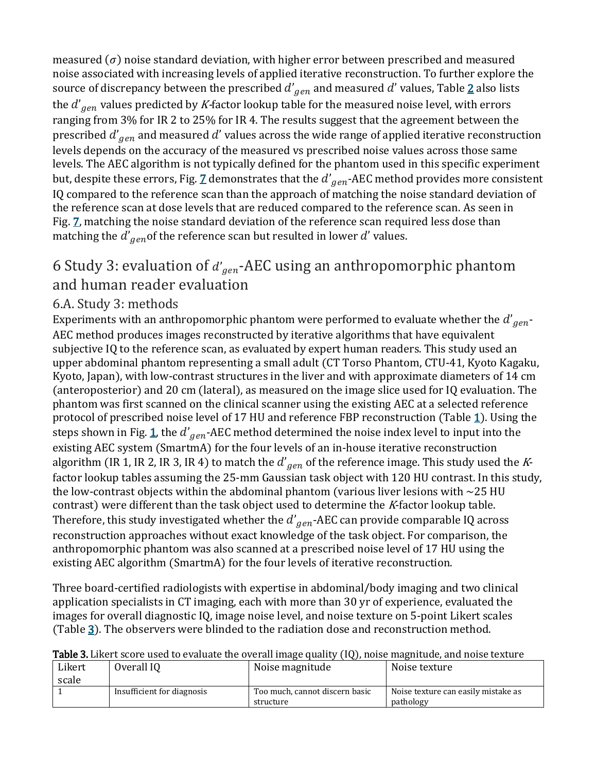measured  $(\sigma)$  noise standard deviation, with higher error between prescribed and measured noise associated with increasing levels of applied iterative reconstruction. To further explore the source of discrepancy between the prescribed  $d^{'}g_{en}$  and measured  $d^{'}$  values, Table <u>[2](https://aapm.onlinelibrary.wiley.com/doi/full/10.1002/mp.13286#mp13286-tbl-0002)</u> also lists the  $d^{\prime}_{\hspace{0.3mm}gen}$  values predicted by  $K$ -factor lookup table for the measured noise level, with errors ranging from 3% for IR 2 to 25% for IR 4. The results suggest that the agreement between the prescribed  $d^{\prime} _{\hspace{0.1em}gen}$  and measured  $d^{\prime}$  values across the wide range of applied iterative reconstruction levels depends on the accuracy of the measured vs prescribed noise values across those same levels. The AEC algorithm is not typically defined for the phantom used in this specific experiment but, despite these errors, Fig. <u>[7](https://aapm.onlinelibrary.wiley.com/doi/full/10.1002/mp.13286#mp13286-fig-0007)</u> demonstrates that the  $d^{'}_{\hspace{0.5mm}gen}$ -AEC method provides more consistent IQ compared to the reference scan than the approach of matching the noise standard deviation of the reference scan at dose levels that are reduced compared to the reference scan. As seen in Fig. Z matching the noise standard deviation of the reference scan required less dose than matching the  $d^{'}_{\hspace{0.1em}gen}$  of the reference scan but resulted in lower  $d^{'}$  values.

# 6 Study 3: evaluation of  $d'_{gen}$ -AEC using an anthropomorphic phantom and human reader evaluation

#### 6.A. Study 3: methods

Experiments with an anthropomorphic phantom were performed to evaluate whether the  $d^{\prime}_{\hspace{0.5mm}gen}$  -AEC method produces images reconstructed by iterative algorithms that have equivalent subjective IQ to the reference scan, as evaluated by expert human readers. This study used an upper abdominal phantom representing a small adult (CT Torso Phantom, CTU-41, Kyoto Kagaku, Kyoto, Japan), with low-contrast structures in the liver and with approximate diameters of 14 cm (anteroposterior) and 20 cm (lateral), as measured on the image slice used for IQ evaluation. The phantom was first scanned on the clinical scanner using the existing AEC at a selected reference protocol of prescribed noise level of 17 HU and reference FBP reconstruction (Table [1\)](https://aapm.onlinelibrary.wiley.com/doi/full/10.1002/mp.13286#mp13286-tbl-0001). Using the steps shown in Fig. <u>1</u>, the  $d'_{gen}$ -AEC method determined the noise index level to input into the existing AEC system (SmartmA) for the four levels of an in-house iterative reconstruction algorithm (IR 1, IR 2, IR 3, IR 4) to match the  $d'_{\hspace{1pt}gen}$  of the reference image. This study used the  $K$ factor lookup tables assuming the 25-mm Gaussian task object with 120 HU contrast. In this study, the low-contrast objects within the abdominal phantom (various liver lesions with  $\sim$ 25 HU contrast) were different than the task object used to determine the K-factor lookup table. Therefore, this study investigated whether the  $d'_{\hspace{1pt}gen}$ -AEC can provide comparable IQ across reconstruction approaches without exact knowledge of the task object. For comparison, the anthropomorphic phantom was also scanned at a prescribed noise level of 17 HU using the existing AEC algorithm (SmartmA) for the four levels of iterative reconstruction.

Three board-certified radiologists with expertise in abdominal/body imaging and two clinical application specialists in CT imaging, each with more than 30 yr of experience, evaluated the images for overall diagnostic IQ, image noise level, and noise texture on 5-point Likert scales (Table [3\)](https://aapm.onlinelibrary.wiley.com/doi/full/10.1002/mp.13286#mp13286-tbl-0003). The observers were blinded to the radiation dose and reconstruction method.

| Likert | Overall IQ                 | Noise magnitude                | Noise texture                       |
|--------|----------------------------|--------------------------------|-------------------------------------|
| scale  |                            |                                |                                     |
|        | Insufficient for diagnosis | Too much, cannot discern basic | Noise texture can easily mistake as |
|        |                            | structure                      | pathology                           |

Table 3. Likert score used to evaluate the overall image quality (IQ), noise magnitude, and noise texture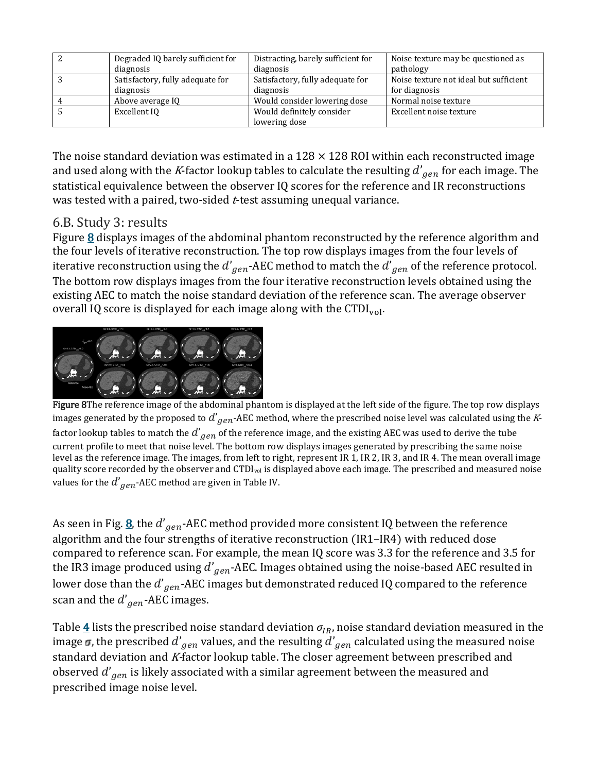| Degraded IQ barely sufficient for | Distracting, barely sufficient for         | Noise texture may be questioned as     |
|-----------------------------------|--------------------------------------------|----------------------------------------|
| diagnosis                         | diagnosis                                  | pathology                              |
| Satisfactory, fully adequate for  | Satisfactory, fully adequate for           | Noise texture not ideal but sufficient |
| diagnosis                         | diagnosis                                  | for diagnosis                          |
| Above average IQ                  | Would consider lowering dose               | Normal noise texture                   |
| Excellent IO                      | Would definitely consider<br>lowering dose |                                        |

The noise standard deviation was estimated in a  $128 \times 128$  ROI within each reconstructed image and used along with the *K*-factor lookup tables to calculate the resulting  $d'_{\hspace{1pt}gen}$  for each image. The statistical equivalence between the observer IQ scores for the reference and IR reconstructions was tested with a paired, two-sided *t*-test assuming unequal variance.

#### 6.B. Study 3: results

Figure  $\underline{8}$  $\underline{8}$  $\underline{8}$  displays images of the abdominal phantom reconstructed by the reference algorithm and the four levels of iterative reconstruction. The top row displays images from the four levels of iterative reconstruction using the  $d'_{\mathit{gen}}$ -AEC method to match the  $d'_{\mathit{gen}}$  of the reference protocol. The bottom row displays images from the four iterative reconstruction levels obtained using the existing AEC to match the noise standard deviation of the reference scan. The average observer overall IQ score is displayed for each image along with the CTDI $_{\text{vol}}$ .



Figure 8The reference image of the abdominal phantom is displayed at the left side of the figure. The top row displays images generated by the proposed to  $d'_{\it Gen}$ -AEC method, where the prescribed noise level was calculated using the *K*factor lookup tables to match the  $d^{'}_{\hspace{0.1em}gen}$  of the reference image, and the existing AEC was used to derive the tube current profile to meet that noise level. The bottom row displays images generated by prescribing the same noise level as the reference image. The images, from left to right, represent IR 1, IR 2, IR 3, and IR 4. The mean overall image quality score recorded by the observer and CTDIvol is displayed above each image. The prescribed and measured noise values for the  $d^{'}_{\hspace{0.1em}gen}$ -AEC method are given in Table IV.

As seen in Fig. <u>8</u>, the  $d'_{\mathit{gen}}$ -AEC method provided more consistent IQ between the reference algorithm and the four strengths of iterative reconstruction (IR1–IR4) with reduced dose compared to reference scan. For example, the mean IQ score was 3.3 for the reference and 3.5 for the IR3 image produced using  $d^{'}_{\hspace{0.5mm}gen}$ -AEC. Images obtained using the noise-based AEC resulted in  $\hspace{0.5mm}$ lower dose than the  $d'_{\hspace{0.5mm}gen}$ -AEC images but demonstrated reduced IQ compared to the reference scan and the  $d'_{\hspace{0.3mm}gen}$ -AEC images.

Table  $\frac{4}{3}$  $\frac{4}{3}$  $\frac{4}{3}$  lists the prescribed noise standard deviation  $\sigma_{IR}$ , noise standard deviation measured in the image  $\pmb{\sigma}$ , the prescribed  $d'_{gen}$  values, and the resulting  $d'_{gen}$  calculated using the measured noise standard deviation and K-factor lookup table. The closer agreement between prescribed and observed  $d^{\prime} _{\hspace{0.1em}gen}$  is likely associated with a similar agreement between the measured and prescribed image noise level.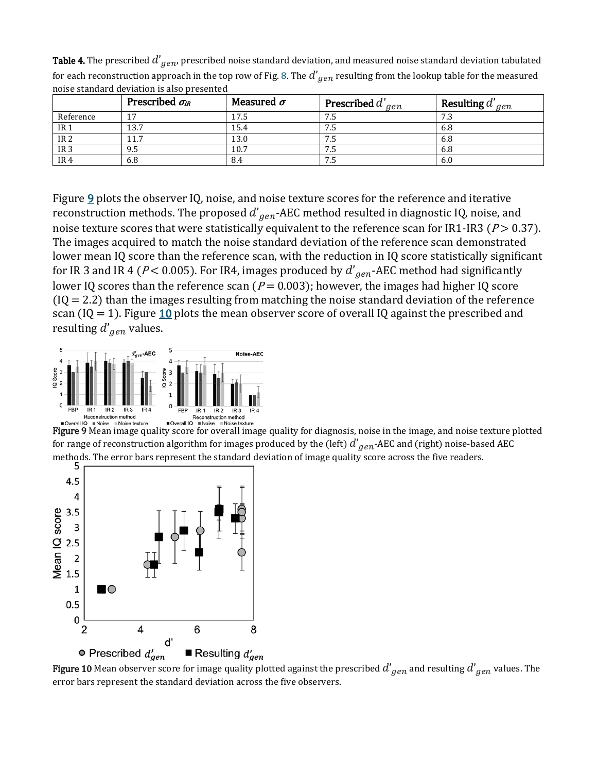|                 | Prescribed $\sigma_{IR}$ | Measured $\sigma$ | <b>Prescribed</b> $d'_{gen}$ | <b>Resulting</b> $d'_{gen}$ |
|-----------------|--------------------------|-------------------|------------------------------|-----------------------------|
| Reference       |                          | 17.5              | 7.5                          | 7.3                         |
| IR <sub>1</sub> | 13.7                     | 15.4              | 7.5                          | 6.8                         |
| IR <sub>2</sub> | 11.7                     | 13.0              | 7.5                          | 6.8                         |
| IR <sub>3</sub> | 9.5                      | 10.7              | 7.5                          | 6.8                         |
| IR <sub>4</sub> | 6.8                      | 8.4               | 7.5                          | 6.0                         |

**Table 4.** The prescribed  $d'_{gen}$ , prescribed noise standard deviation, and measured noise standard deviation tabulated for each reconstruction approach in the top row of Fig. [8.](https://aapm.onlinelibrary.wiley.com/doi/full/10.1002/mp.13286#mp13286-fig-0008) The  $d'_{\hspace{1pt}gen}$  resulting from the lookup table for the measured noise standard deviation is also presented

Figure  $9$  plots the observer IQ, noise, and noise texture scores for the reference and iterative reconstruction methods. The proposed  $d'_{\mathit{gen}}$ -AEC method resulted in diagnostic IQ, noise, and noise texture scores that were statistically equivalent to the reference scan for IR1-IR3 ( $P > 0.37$ ). The images acquired to match the noise standard deviation of the reference scan demonstrated lower mean IQ score than the reference scan, with the reduction in IQ score statistically significant for IR 3 and IR 4 ( $P$  < 0.005). For IR4, images produced by  $d^{\prime}_{gen}$ -AEC method had significantly lower IQ scores than the reference scan ( $P = 0.003$ ); however, the images had higher IQ score  $(Q = 2.2)$  than the images resulting from matching the noise standard deviation of the reference scan (IQ = 1). Figure  $\underline{10}$  $\underline{10}$  $\underline{10}$  plots the mean observer score of overall IQ against the prescribed and resulting  $d^{\prime} _{\hspace{0.3mm}gen}$  values.



Figure 9 Mean image quality score for overall image quality for diagnosis, noise in the image, and noise texture plotted for range of reconstruction algorithm for images produced by the (left)  $d^{'}{}_{gen}$ -AEC and (right) noise-based AEC [methods. The error bars represent the standard de](https://wol-prod-cdn.literatumonline.com/cms/attachment/e25958cf-995c-4fca-a403-9b3001305e71/mp13286-fig-0010-m.jpg)viation of image quality score across the five readers.<br>5



**Figure 10** Mean observer score for image quality plotted against the prescribed  $d'_{gen}$  and resulting  $d'_{gen}$  values. The error bars represent the standard deviation across the five observers.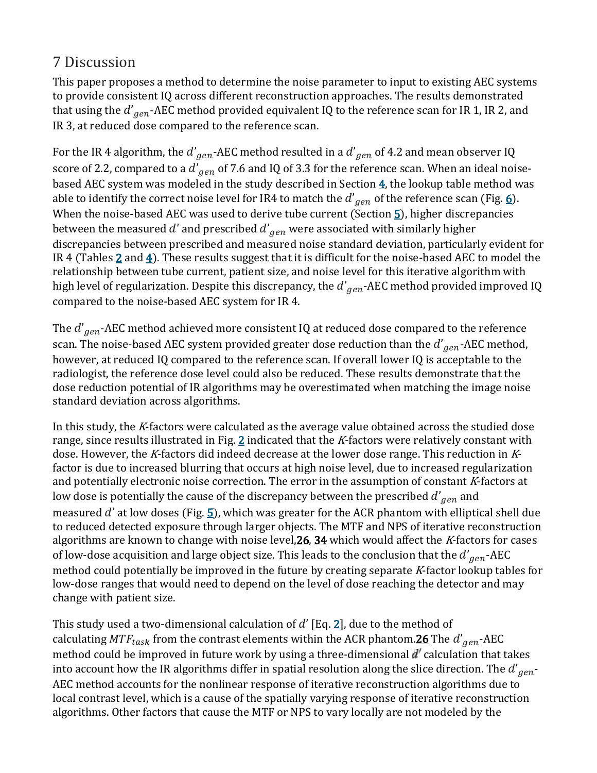### 7 Discussion

This paper proposes a method to determine the noise parameter to input to existing AEC systems to provide consistent IQ across different reconstruction approaches. The results demonstrated that using the  $d'_{\hspace{0.5mm}gen}$ -AEC method provided equivalent IQ to the reference scan for IR 1, IR 2, and IR 3, at reduced dose compared to the reference scan.

For the IR 4 algorithm, the  $d'_{gen}$ -AEC method resulted in a  $d'_{gen}$  of 4.2 and mean observer IQ score of 2.2, compared to a  $d'_{\hspace{0.8em}gen}$  of 7.6 and IQ of 3.3 for the reference scan. When an ideal noisebased AEC system was modeled in the study described in Section  $\frac{4}{10}$ , the lookup table method was able to identify the correct noise level for IR4 to match the  $d^{'}_{\hspace{0.3mm}gen}$  of the reference scan (Fig. <u>6</u>). When the noise-based AEC was used to derive tube current (Section  $\frac{5}{2}$ ), higher discrepancies between the measured  $d'$  and prescribed  $d'_{gen}$  were associated with similarly higher discrepancies between prescribed and measured noise standard deviation, particularly evident for IR 4 (Tables  $\underline{2}$  $\underline{2}$  $\underline{2}$  and  $\underline{4}$ ). These results suggest that it is difficult for the noise-based AEC to model the relationship between tube current, patient size, and noise level for this iterative algorithm with high level of regularization. Despite this discrepancy, the  $d^{\prime}{}_{gen}$ -AEC method provided improved IQ  $\,$ compared to the noise-based AEC system for IR 4.

The  $d^{'}_{\hspace{0.3mm}gen}$ -AEC method achieved more consistent IQ at reduced dose compared to the reference  $^{}$ scan. The noise-based AEC system provided greater dose reduction than the  $d^{\prime}_{\phantom{\prime}gen}$ -AEC method, however, at reduced IQ compared to the reference scan. If overall lower IQ is acceptable to the radiologist, the reference dose level could also be reduced. These results demonstrate that the dose reduction potential of IR algorithms may be overestimated when matching the image noise standard deviation across algorithms.

In this study, the K-factors were calculated as the average value obtained across the studied dose range, since results illustrated in Fig. [2](https://aapm.onlinelibrary.wiley.com/doi/full/10.1002/mp.13286#mp13286-fig-0002) indicated that the K-factors were relatively constant with dose. However, the K-factors did indeed decrease at the lower dose range. This reduction in Kfactor is due to increased blurring that occurs at high noise level, due to increased regularization and potentially electronic noise correction. The error in the assumption of constant K-factors at low dose is potentially the cause of the discrepancy between the prescribed  $d^{\prime} _{\hspace{0.1em}gen}$  and measured  $d'$  at low doses (Fig. [5\)](https://aapm.onlinelibrary.wiley.com/doi/full/10.1002/mp.13286#mp13286-fig-0005), which was greater for the ACR phantom with elliptical shell due to reduced detected exposure through larger objects. The MTF and NPS of iterative reconstruction algorithms are known to change with noise level,  $26$ ,  $34$  which would affect the K-factors for cases of low-dose acquisition and large object size. This leads to the conclusion that the  $d^{\prime} _{\hspace{0.6mm}gen}$ -AEC  $\,$ method could potentially be improved in the future by creating separate <sup>K</sup>-factor lookup tables for low-dose ranges that would need to depend on the level of dose reaching the detector and may change with patient size.

This study used a two-dimensional calculation of  $d'$  [Eq. [2\]](https://aapm.onlinelibrary.wiley.com/doi/full/10.1002/mp.13286#mp13286-disp-0002), due to the method of calculating  $\textit{MTF}_{task}$  from the contrast elements within the ACR phantom. $\underline{26}$  The  $\textit{d'}_{gen}$ -AEC method could be improved in future work by using a three-dimensional  $d'$  calculation that takes into account how the IR algorithms differ in spatial resolution along the slice direction. The  $d^{\prime}{}_{gen}$  -AEC method accounts for the nonlinear response of iterative reconstruction algorithms due to local contrast level, which is a cause of the spatially varying response of iterative reconstruction algorithms. Other factors that cause the MTF or NPS to vary locally are not modeled by the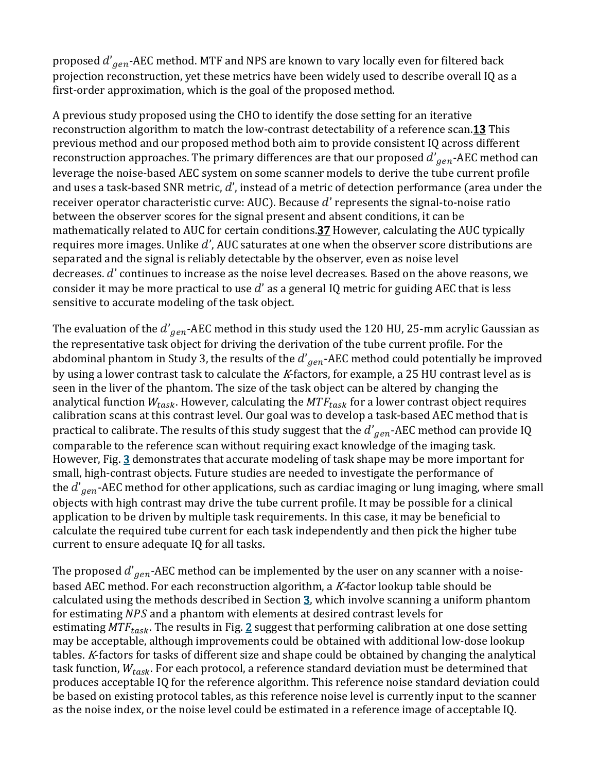proposed  $d^{\prime}_{gen}$ -AEC method. MTF and NPS are known to vary locally even for filtered back  $\,$ projection reconstruction, yet these metrics have been widely used to describe overall IQ as a first-order approximation, which is the goal of the proposed method.

A previous study proposed using the CHO to identify the dose setting for an iterative reconstruction algorithm to match the low-contrast detectability of a reference scan[.13](https://aapm.onlinelibrary.wiley.com/doi/full/10.1002/mp.13286#mp13286-bib-0013) This previous method and our proposed method both aim to provide consistent IQ across different reconstruction approaches. The primary differences are that our proposed  $d^{\prime} _{\hspace{0.5mm}gen}$  -AEC method can  $\hspace{0.5mm}$ leverage the noise-based AEC system on some scanner models to derive the tube current profile and uses a task-based SNR metric,  $d'$ , instead of a metric of detection performance (area under the receiver operator characteristic curve: AUC). Because  $d'$  represents the signal-to-noise ratio between the observer scores for the signal present and absent conditions, it can be mathematically related to AUC for certain conditions.<sup>37</sup> However, calculating the AUC typically requires more images. Unlike  $d'$ , AUC saturates at one when the observer score distributions are separated and the signal is reliably detectable by the observer, even as noise level decreases.  $d'$  continues to increase as the noise level decreases. Based on the above reasons, we consider it may be more practical to use  $d'$  as a general IQ metric for guiding AEC that is less sensitive to accurate modeling of the task object.

The evaluation of the  $d^{'}_{\hspace{0.5mm}gen}$ -AEC method in this study used the  $120$  HU,  $25$ -mm acrylic Gaussian as the representative task object for driving the derivation of the tube current profile. For the abdominal phantom in Study 3, the results of the  $d^{\prime}{}_{gen}$ -AEC method could potentially be improved by using a lower contrast task to calculate the K-factors, for example, a 25 HU contrast level as is seen in the liver of the phantom. The size of the task object can be altered by changing the analytical function  $W_{task}$ . However, calculating the  $MTF_{task}$  for a lower contrast object requires calibration scans at this contrast level. Our goal was to develop a task-based AEC method that is practical to calibrate. The results of this study suggest that the  $d^{'}_{\hspace{0.1em}gen}$ -AEC method can provide IQ comparable to the reference scan without requiring exact knowledge of the imaging task. However, Fig. [3](https://aapm.onlinelibrary.wiley.com/doi/full/10.1002/mp.13286#mp13286-fig-0003) demonstrates that accurate modeling of task shape may be more important for small, high-contrast objects. Future studies are needed to investigate the performance of the  $d^{\prime} _{\hspace{0.5mm}gen}$ -AEC method for other applications, such as cardiac imaging or lung imaging, where small objects with high contrast may drive the tube current profile. It may be possible for a clinical application to be driven by multiple task requirements. In this case, it may be beneficial to calculate the required tube current for each task independently and then pick the higher tube current to ensure adequate IQ for all tasks.

The proposed  $d^{\prime}_{\phantom{\prime}gen}$ -AEC method can be implemented by the user on any scanner with a noisebased AEC method. For each reconstruction algorithm, a  $K$ -factor lookup table should be calculated using the methods described in Section [3,](https://aapm.onlinelibrary.wiley.com/doi/full/10.1002/mp.13286#mp13286-sec-0007) which involve scanning a uniform phantom for estimating NPS and a phantom with elements at desired contrast levels for estimating  $MTF_{task}$ . The results in Fig. [2](https://aapm.onlinelibrary.wiley.com/doi/full/10.1002/mp.13286#mp13286-fig-0002) suggest that performing calibration at one dose setting may be acceptable, although improvements could be obtained with additional low-dose lookup tables. <sup>K</sup>-factors for tasks of different size and shape could be obtained by changing the analytical task function,  $W_{task}$ . For each protocol, a reference standard deviation must be determined that produces acceptable IQ for the reference algorithm. This reference noise standard deviation could be based on existing protocol tables, as this reference noise level is currently input to the scanner as the noise index, or the noise level could be estimated in a reference image of acceptable IQ.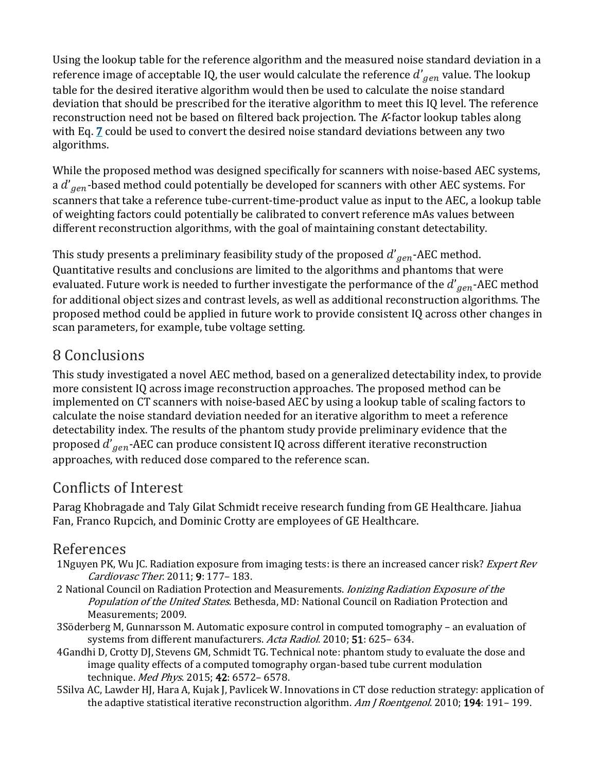Using the lookup table for the reference algorithm and the measured noise standard deviation in a reference image of acceptable IQ, the user would calculate the reference  $d^{\prime} _{\phantom{\prime}gen}$  value. The lookup table for the desired iterative algorithm would then be used to calculate the noise standard deviation that should be prescribed for the iterative algorithm to meet this IQ level. The reference reconstruction need not be based on filtered back projection. The K-factor lookup tables along with Eq. *[7](https://aapm.onlinelibrary.wiley.com/doi/full/10.1002/mp.13286#mp13286-disp-0007)* could be used to convert the desired noise standard deviations between any two algorithms.

While the proposed method was designed specifically for scanners with noise-based AEC systems, a  $d^{\prime} _{\hspace{0.5mm}gen}$ -based method could potentially be developed for scanners with other AEC systems. For scanners that take a reference tube-current-time-product value as input to the AEC, a lookup table of weighting factors could potentially be calibrated to convert reference mAs values between different reconstruction algorithms, with the goal of maintaining constant detectability.

This study presents a preliminary feasibility study of the proposed  $d^{\prime} _{\hspace{0.1em}gen}$ -AEC method. Quantitative results and conclusions are limited to the algorithms and phantoms that were evaluated. Future work is needed to further investigate the performance of the  $d^{\prime} _{\hspace{0.5mm}gen}$ -AEC method for additional object sizes and contrast levels, as well as additional reconstruction algorithms. The proposed method could be applied in future work to provide consistent IQ across other changes in scan parameters, for example, tube voltage setting.

# 8 Conclusions

This study investigated a novel AEC method, based on a generalized detectability index, to provide more consistent IQ across image reconstruction approaches. The proposed method can be implemented on CT scanners with noise-based AEC by using a lookup table of scaling factors to calculate the noise standard deviation needed for an iterative algorithm to meet a reference detectability index. The results of the phantom study provide preliminary evidence that the proposed  $d^{\prime}_{gen}$ -AEC can produce consistent IQ across different iterative reconstruction approaches, with reduced dose compared to the reference scan.

# Conflicts of Interest

Parag Khobragade and Taly Gilat Schmidt receive research funding from GE Healthcare. Jiahua Fan, Franco Rupcich, and Dominic Crotty are employees of GE Healthcare.

#### References

- 1Nguyen PK, Wu JC. Radiation exposure from imaging tests: is there an increased cancer risk? *Expert Rev* Cardiovasc Ther. 2011; 9: 177– 183.
- 2 National Council on Radiation Protection and Measurements. *Ionizing Radiation Exposure of the* Population of the United States. Bethesda, MD: National Council on Radiation Protection and Measurements; 2009.
- 3Söderberg M, Gunnarsson M. Automatic exposure control in computed tomography an evaluation of systems from different manufacturers. Acta Radiol. 2010; 51: 625-634.
- 4Gandhi D, Crotty DJ, Stevens GM, Schmidt TG. Technical note: phantom study to evaluate the dose and image quality effects of a computed tomography organ-based tube current modulation technique. Med Phys. 2015; 42: 6572-6578.
- 5Silva AC, Lawder HJ, Hara A, Kujak J, Pavlicek W. Innovations in CT dose reduction strategy: application of the adaptive statistical iterative reconstruction algorithm. Am J Roentgenol. 2010; 194: 191-199.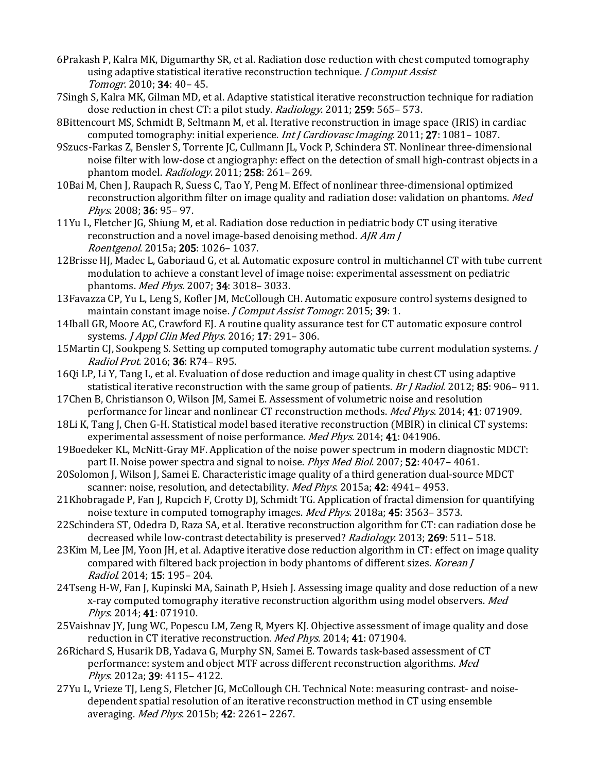- 6Prakash P, Kalra MK, Digumarthy SR, et al. Radiation dose reduction with chest computed tomography using adaptive statistical iterative reconstruction technique. *J Comput Assist* Tomogr. 2010; 34: 40– 45.
- 7Singh S, Kalra MK, Gilman MD, et al. Adaptive statistical iterative reconstruction technique for radiation dose reduction in chest CT: a pilot study. Radiology. 2011; 259: 565- 573.
- 8Bittencourt MS, Schmidt B, Seltmann M, et al. Iterative reconstruction in image space (IRIS) in cardiac computed tomography: initial experience. *Int J Cardiovasc Imaging*. 2011; 27: 1081–1087.
- 9Szucs-Farkas Z, Bensler S, Torrente JC, Cullmann JL, Vock P, Schindera ST. Nonlinear three-dimensional noise filter with low-dose ct angiography: effect on the detection of small high-contrast objects in a phantom model. Radiology. 2011; 258: 261– 269.
- 10Bai M, Chen J, Raupach R, Suess C, Tao Y, Peng M. Effect of nonlinear three-dimensional optimized reconstruction algorithm filter on image quality and radiation dose: validation on phantoms. Med Phys. 2008; 36: 95– 97.
- 11Yu L, Fletcher JG, Shiung M, et al. Radiation dose reduction in pediatric body CT using iterative reconstruction and a novel image-based denoising method. AJR Am J Roentgenol. 2015a; 205: 1026– 1037.
- 12Brisse HJ, Madec L, Gaboriaud G, et al. Automatic exposure control in multichannel CT with tube current modulation to achieve a constant level of image noise: experimental assessment on pediatric phantoms. Med Phys. 2007; 34: 3018– 3033.
- 13Favazza CP, Yu L, Leng S, Kofler JM, McCollough CH. Automatic exposure control systems designed to maintain constant image noise. *J Comput Assist Tomogr*. 2015; 39: 1.
- 14Iball GR, Moore AC, Crawford EJ. A routine quality assurance test for CT automatic exposure control systems. *J Appl Clin Med Phys.* 2016; **17**: 291-306.
- 15Martin CJ, Sookpeng S. Setting up computed tomography automatic tube current modulation systems. J Radiol Prot. 2016; 36: R74– R95.
- 16Qi LP, Li Y, Tang L, et al. Evaluation of dose reduction and image quality in chest CT using adaptive statistical iterative reconstruction with the same group of patients. Br J Radiol. 2012; 85: 906-911.
- 17Chen B, Christianson O, Wilson JM, Samei E. Assessment of volumetric noise and resolution performance for linear and nonlinear CT reconstruction methods. Med Phys. 2014; 41: 071909.
- 18Li K, Tang J, Chen G-H. Statistical model based iterative reconstruction (MBIR) in clinical CT systems: experimental assessment of noise performance. Med Phys. 2014; 41: 041906.
- 19Boedeker KL, McNitt-Gray MF. Application of the noise power spectrum in modern diagnostic MDCT: part II. Noise power spectra and signal to noise. *Phys Med Biol*. 2007; 52: 4047-4061.
- 20Solomon J, Wilson J, Samei E. Characteristic image quality of a third generation dual-source MDCT scanner: noise, resolution, and detectability. Med Phys. 2015a; 42: 4941-4953.
- 21Khobragade P, Fan J, Rupcich F, Crotty DJ, Schmidt TG. Application of fractal dimension for quantifying noise texture in computed tomography images. Med Phys. 2018a; 45: 3563–3573.
- 22Schindera ST, Odedra D, Raza SA, et al. Iterative reconstruction algorithm for CT: can radiation dose be decreased while low-contrast detectability is preserved? Radiology. 2013; 269: 511- 518.
- 23Kim M, Lee JM, Yoon JH, et al. Adaptive iterative dose reduction algorithm in CT: effect on image quality compared with filtered back projection in body phantoms of different sizes. Korean J Radiol. 2014; 15: 195– 204.
- 24Tseng H-W, Fan J, Kupinski MA, Sainath P, Hsieh J. Assessing image quality and dose reduction of a new x-ray computed tomography iterative reconstruction algorithm using model observers. Med Phys. 2014; 41: 071910.
- 25Vaishnav JY, Jung WC, Popescu LM, Zeng R, Myers KJ. Objective assessment of image quality and dose reduction in CT iterative reconstruction. Med Phys. 2014; 41: 071904.
- 26Richard S, Husarik DB, Yadava G, Murphy SN, Samei E. Towards task-based assessment of CT performance: system and object MTF across different reconstruction algorithms. Med Phys. 2012a; 39: 4115– 4122.
- 27Yu L, Vrieze TJ, Leng S, Fletcher JG, McCollough CH. Technical Note: measuring contrast- and noisedependent spatial resolution of an iterative reconstruction method in CT using ensemble averaging. Med Phys. 2015b; 42: 2261– 2267.